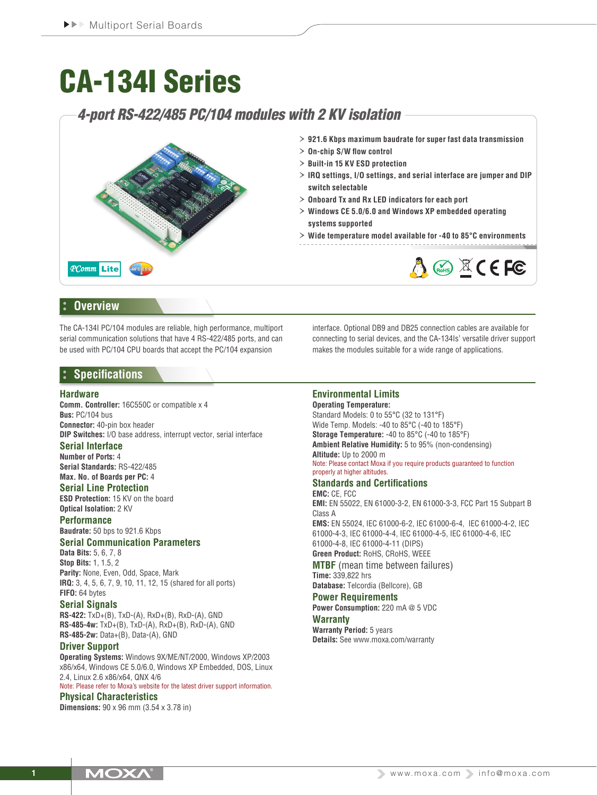# CA-134I Series

# *4-port RS-422/485 PC/104 modules with 2 KV isolation*



## **Overview**

The CA-134I PC/104 modules are reliable, high performance, multiport serial communication solutions that have 4 RS-422/485 ports, and can be used with PC/104 CPU boards that accept the PC/104 expansion

## **Specifications**

#### **Hardware**

**Comm. Controller:** 16C550C or compatible x 4 **Bus:** PC/104 bus **Connector:** 40-pin box header

**DIP Switches:** I/O base address, interrupt vector, serial interface **Serial Interface**

# **Number of Ports:** 4

**Serial Standards:** RS-422/485 **Max. No. of Boards per PC:** 4

#### **Serial Line Protection**

**ESD Protection:** 15 KV on the board **Optical Isolation:** 2 KV

**Performance**

**Baudrate:** 50 bps to 921.6 Kbps

## **Serial Communication Parameters**

**Data Bits:** 5, 6, 7, 8 **Stop Bits:** 1, 1.5, 2 **Parity:** None, Even, Odd, Space, Mark **IRQ:** 3, 4, 5, 6, 7, 9, 10, 11, 12, 15 (shared for all ports) **FIFO:** 64 bytes

#### **Serial Signals**

**RS-422:** TxD+(B), TxD-(A), RxD+(B), RxD-(A), GND **RS-485-4w:** TxD+(B), TxD-(A), RxD+(B), RxD-(A), GND **RS-485-2w:** Data+(B), Data-(A), GND

#### **Driver Support**

**Operating Systems:** Windows 9X/ME/NT/2000, Windows XP/2003 x86/x64, Windows CE 5.0/6.0, Windows XP Embedded, DOS, Linux 2.4, Linux 2.6 x86/x64, QNX 4/6

Note: Please refer to Moxa's website for the latest driver support information. **Physical Characteristics**

**Dimensions:** 90 x 96 mm (3.54 x 3.78 in)

interface. Optional DB9 and DB25 connection cables are available for connecting to serial devices, and the CA-134Is' versatile driver support makes the modules suitable for a wide range of applications.

### **Environmental Limits**

**Operating Temperature:** Standard Models: 0 to 55°C (32 to 131°F) Wide Temp. Models: -40 to 85°C (-40 to 185°F) **Storage Temperature:** -40 to 85°C (-40 to 185°F) **Ambient Relative Humidity:** 5 to 95% (non-condensing) **Altitude:** Up to 2000 m Note: Please contact Moxa if you require products guaranteed to function properly at higher altitudes.

## **Standards and Certifications**

**EMC:** CE, FCC **EMI:** EN 55022, EN 61000-3-2, EN 61000-3-3, FCC Part 15 Subpart B Class A

**EMS:** EN 55024, IEC 61000-6-2, IEC 61000-6-4, IEC 61000-4-2, IEC 61000-4-3, IEC 61000-4-4, IEC 61000-4-5, IEC 61000-4-6, IEC 61000-4-8, IEC 61000-4-11 (DIPS) **Green Product:** RoHS, CRoHS, WEEE

**MTBF** (mean time between failures) **Time:** 339,822 hrs

**Database:** Telcordia (Bellcore), GB

# **Power Requirements**

**Power Consumption:** 220 mA @ 5 VDC

## **Warranty**

**Warranty Period:** 5 years **Details:** See www.moxa.com/warranty